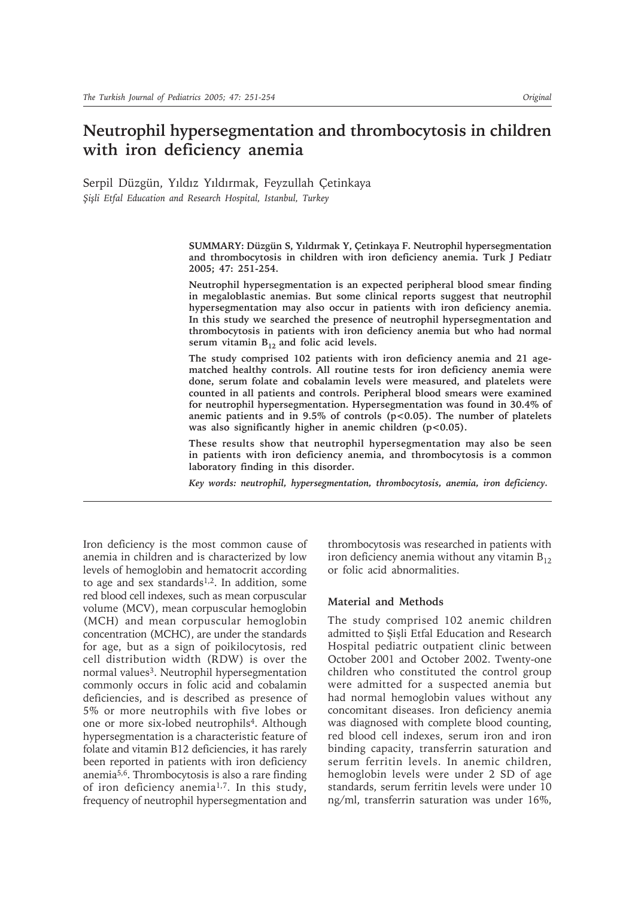# **Neutrophil hypersegmentation and thrombocytosis in children with iron deficiency anemia**

Serpil Düzgün, Yıldız Yıldırmak, Feyzullah Çetinkaya *Şişli Etfal Education and Research Hospital, Istanbul, Turkey*

> **SUMMARY: Düzgün S, Yıldırmak Y, Çetinkaya F. Neutrophil hypersegmentation and thrombocytosis in children with iron deficiency anemia. Turk J Pediatr 2005; 47: 251-254.**

> **Neutrophil hypersegmentation is an expected peripheral blood smear finding in megaloblastic anemias. But some clinical reports suggest that neutrophil hypersegmentation may also occur in patients with iron deficiency anemia. In this study we searched the presence of neutrophil hypersegmentation and thrombocytosis in patients with iron deficiency anemia but who had normal**  serum vitamin B<sub>12</sub> and folic acid levels.

> **The study comprised 102 patients with iron deficiency anemia and 21 agematched healthy controls. All routine tests for iron deficiency anemia were done, serum folate and cobalamin levels were measured, and platelets were counted in all patients and controls. Peripheral blood smears were examined for neutrophil hypersegmentation. Hypersegmentation was found in 30.4% of anemic patients and in 9.5% of controls (p<0.05). The number of platelets**  was also significantly higher in anemic children (p<0.05).

> **These results show that neutrophil hypersegmentation may also be seen in patients with iron deficiency anemia, and thrombocytosis is a common laboratory finding in this disorder.**

*Key words: neutrophil, hypersegmentation, thrombocytosis, anemia, iron deficiency.*

Iron deficiency is the most common cause of anemia in children and is characterized by low levels of hemoglobin and hematocrit according to age and sex standards<sup>1,2</sup>. In addition, some red blood cell indexes, such as mean corpuscular volume (MCV), mean corpuscular hemoglobin (MCH) and mean corpuscular hemoglobin concentration (MCHC), are under the standards for age, but as a sign of poikilocytosis, red cell distribution width (RDW) is over the normal values<sup>3</sup>. Neutrophil hypersegmentation commonly occurs in folic acid and cobalamin deficiencies, and is described as presence of 5% or more neutrophils with five lobes or one or more six-lobed neutrophils<sup>4</sup>. Although hypersegmentation is a characteristic feature of folate and vitamin B12 deficiencies, it has rarely been reported in patients with iron deficiency anemia5,6. Thrombocytosis is also a rare finding of iron deficiency anemia1,7. In this study, frequency of neutrophil hypersegmentation and

thrombocytosis was researched in patients with iron deficiency anemia without any vitamin  $B_{12}$ or folic acid abnormalities.

## **Material and Methods**

The study comprised 102 anemic children admitted to Şişli Etfal Education and Research Hospital pediatric outpatient clinic between October 2001 and October 2002. Twenty-one children who constituted the control group were admitted for a suspected anemia but had normal hemoglobin values without any concomitant diseases. Iron deficiency anemia was diagnosed with complete blood counting, red blood cell indexes, serum iron and iron binding capacity, transferrin saturation and serum ferritin levels. In anemic children, hemoglobin levels were under 2 SD of age standards, serum ferritin levels were under 10 ng/ml, transferrin saturation was under 16%,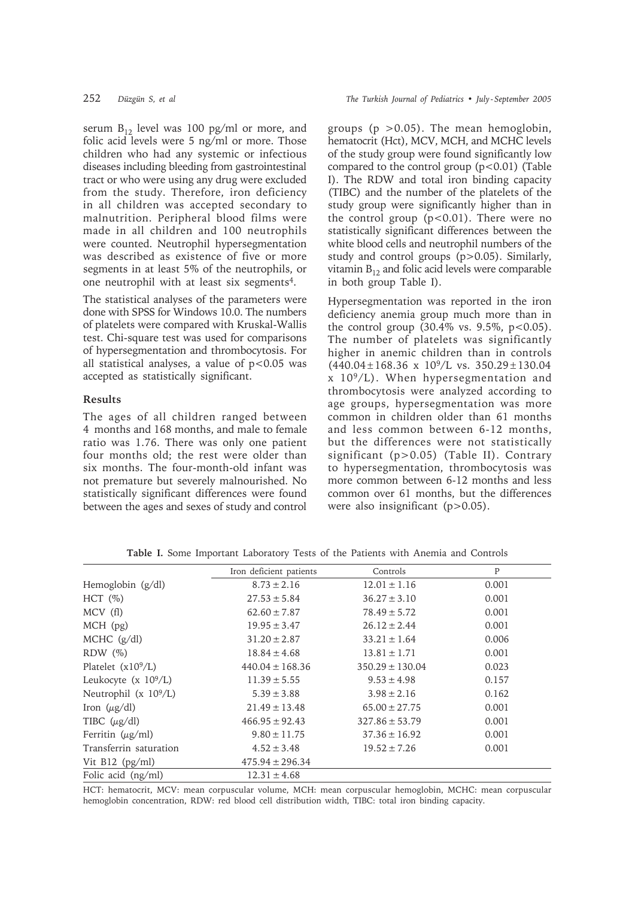serum  $B_{12}$  level was 100 pg/ml or more, and folic acid levels were 5 ng/ml or more. Those children who had any systemic or infectious diseases including bleeding from gastrointestinal tract or who were using any drug were excluded from the study. Therefore, iron deficiency in all children was accepted secondary to malnutrition. Peripheral blood films were made in all children and 100 neutrophils were counted. Neutrophil hypersegmentation was described as existence of five or more segments in at least 5% of the neutrophils, or one neutrophil with at least six segments4.

The statistical analyses of the parameters were done with SPSS for Windows 10.0. The numbers of platelets were compared with Kruskal-Wallis test. Chi-square test was used for comparisons of hypersegmentation and thrombocytosis. For all statistical analyses, a value of  $p < 0.05$  was accepted as statistically significant.

### **Results**

The ages of all children ranged between 4 months and 168 months, and male to female ratio was 1.76. There was only one patient four months old; the rest were older than six months. The four-month-old infant was not premature but severely malnourished. No statistically significant differences were found between the ages and sexes of study and control

groups  $(p > 0.05)$ . The mean hemoglobin, hematocrit (Hct), MCV, MCH, and MCHC levels of the study group were found significantly low compared to the control group  $(p<0.01)$  (Table I). The RDW and total iron binding capacity (TIBC) and the number of the platelets of the study group were significantly higher than in the control group  $(p<0.01)$ . There were no statistically significant differences between the white blood cells and neutrophil numbers of the study and control groups (p>0.05). Similarly, vitamin  $B_{12}$  and folic acid levels were comparable in both group Table I).

Hypersegmentation was reported in the iron deficiency anemia group much more than in the control group (30.4% vs. 9.5%,  $p$ <0.05). The number of platelets was significantly higher in anemic children than in controls  $(440.04 \pm 168.36 \times 10^9/\text{L} \text{ vs. } 350.29 \pm 130.04$ x 109/L). When hypersegmentation and thrombocytosis were analyzed according to age groups, hypersegmentation was more common in children older than 61 months and less common between 6-12 months, but the differences were not statistically significant (p>0.05) (Table II). Contrary to hypersegmentation, thrombocytosis was more common between 6-12 months and less common over 61 months, but the differences were also insignificant (p>0.05).

|                          | Iron deficient patients | Controls            | P     |  |
|--------------------------|-------------------------|---------------------|-------|--|
| Hemoglobin (g/dl)        | $8.73 \pm 2.16$         | $12.01 \pm 1.16$    | 0.001 |  |
| $HCT (\%)$               | $27.53 \pm 5.84$        | $36.27 \pm 3.10$    | 0.001 |  |
| MCV(f)                   | $62.60 \pm 7.87$        | $78.49 \pm 5.72$    | 0.001 |  |
| $MCH$ (pg)               | $19.95 \pm 3.47$        | $26.12 \pm 2.44$    | 0.001 |  |
| MCHC $(g/dl)$            | $31.20 \pm 2.87$        | $33.21 \pm 1.64$    | 0.006 |  |
| $RDW$ $(\%)$             | $18.84 \pm 4.68$        | $13.81 \pm 1.71$    | 0.001 |  |
| Platelet $(x10^9/L)$     | $440.04 \pm 168.36$     | $350.29 \pm 130.04$ | 0.023 |  |
| Leukocyte (x $10^9$ /L)  | $11.39 \pm 5.55$        | $9.53 \pm 4.98$     | 0.157 |  |
| Neutrophil (x $10^9$ /L) | $5.39 \pm 3.88$         | $3.98 \pm 2.16$     | 0.162 |  |
| Iron $(\mu g/dl)$        | $21.49 \pm 13.48$       | $65.00 \pm 27.75$   | 0.001 |  |
| TIBC $(\mu g/dl)$        | $466.95 \pm 92.43$      | $327.86 \pm 53.79$  | 0.001 |  |
| Ferritin $(\mu g/ml)$    | $9.80 \pm 11.75$        | $37.36 \pm 16.92$   | 0.001 |  |
| Transferrin saturation   | $4.52 \pm 3.48$         | $19.52 \pm 7.26$    | 0.001 |  |
| Vit $B12$ (pg/ml)        | $475.94 \pm 296.34$     |                     |       |  |
| Folic acid (ng/ml)       | $12.31 \pm 4.68$        |                     |       |  |

**Table I.** Some Important Laboratory Tests of the Patients with Anemia and Controls

HCT: hematocrit, MCV: mean corpuscular volume, MCH: mean corpuscular hemoglobin, MCHC: mean corpuscular hemoglobin concentration, RDW: red blood cell distribution width, TIBC: total iron binding capacity.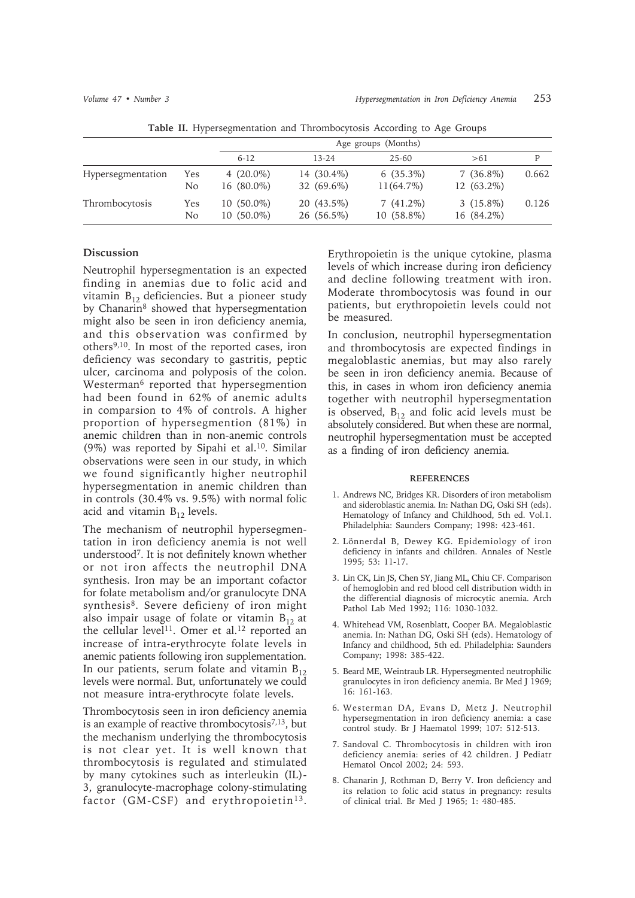|                   |                       | Age groups (Months)          |                          |                             |                           |       |
|-------------------|-----------------------|------------------------------|--------------------------|-----------------------------|---------------------------|-------|
|                   |                       | $6-12$                       | $13 - 24$                | $25 - 60$                   | >61                       | P     |
| Hypersegmentation | Yes<br>N <sub>o</sub> | 4 $(20.0\%)$<br>16 (80.0%)   | 14 (30.4%)<br>32 (69.6%) | $6(35.3\%)$<br>$11(64.7\%)$ | $7(36.8\%)$<br>12 (63.2%) | 0.662 |
| Thrombocytosis    | Yes<br>No.            | $10(50.0\%)$<br>$10(50.0\%)$ | 20 (43.5%)<br>26 (56.5%) | $7(41.2\%)$<br>$10(58.8\%)$ | $3(15.8\%)$<br>16 (84.2%) | 0.126 |

**Table II.** Hypersegmentation and Thrombocytosis According to Age Groups

### **Discussion**

Neutrophil hypersegmentation is an expected finding in anemias due to folic acid and vitamin  $B_{12}$  deficiencies. But a pioneer study by Chanarin<sup>8</sup> showed that hypersegmentation might also be seen in iron deficiency anemia, and this observation was confirmed by others9,10. In most of the reported cases, iron deficiency was secondary to gastritis, peptic ulcer, carcinoma and polyposis of the colon. Westerman<sup>6</sup> reported that hypersegmention had been found in 62% of anemic adults in comparsion to 4% of controls. A higher proportion of hypersegmention (81%) in anemic children than in non-anemic controls (9%) was reported by Sipahi et al.10. Similar observations were seen in our study, in which we found significantly higher neutrophil hypersegmentation in anemic children than in controls (30.4% vs. 9.5%) with normal folic acid and vitamin  $B_{12}$  levels.

The mechanism of neutrophil hypersegmentation in iron deficiency anemia is not well understood7. It is not definitely known whether or not iron affects the neutrophil DNA synthesis. Iron may be an important cofactor for folate metabolism and/or granulocyte DNA synthesis8. Severe deficieny of iron might also impair usage of folate or vitamin  $B_{12}$  at the cellular level<sup>11</sup>. Omer et al.<sup>12</sup> reported an increase of intra-erythrocyte folate levels in anemic patients following iron supplementation. In our patients, serum folate and vitamin  $B_{12}$ levels were normal. But, unfortunately we could not measure intra-erythrocyte folate levels.

Thrombocytosis seen in iron deficiency anemia is an example of reactive thrombocytosis $7,13$ , but the mechanism underlying the thrombocytosis is not clear yet. It is well known that thrombocytosis is regulated and stimulated by many cytokines such as interleukin (IL)- 3, granulocyte-macrophage colony-stimulating factor (GM-CSF) and erythropoietin<sup>13</sup>.

Erythropoietin is the unique cytokine, plasma levels of which increase during iron deficiency and decline following treatment with iron. Moderate thrombocytosis was found in our patients, but erythropoietin levels could not be measured.

In conclusion, neutrophil hypersegmentation and thrombocytosis are expected findings in megaloblastic anemias, but may also rarely be seen in iron deficiency anemia. Because of this, in cases in whom iron deficiency anemia together with neutrophil hypersegmentation is observed,  $B_{12}$  and folic acid levels must be absolutely considered. But when these are normal, neutrophil hypersegmentation must be accepted as a finding of iron deficiency anemia.

### **REFERENCES**

- 1. Andrews NC, Bridges KR. Disorders of iron metabolism and sideroblastic anemia. In: Nathan DG, Oski SH (eds). Hematology of Infancy and Childhood, 5th ed. Vol.1. Philadelphia: Saunders Company; 1998: 423-461.
- 2. Lönnerdal B, Dewey KG. Epidemiology of iron deficiency in infants and children. Annales of Nestle 1995; 53: 11-17.
- 3. Lin CK, Lin JS, Chen SY, Jiang ML, Chiu CF. Comparison of hemoglobin and red blood cell distribution width in the differential diagnosis of microcytic anemia. Arch Pathol Lab Med 1992; 116: 1030-1032.
- 4. Whitehead VM, Rosenblatt, Cooper BA. Megaloblastic anemia. In: Nathan DG, Oski SH (eds). Hematology of Infancy and childhood, 5th ed. Philadelphia: Saunders Company; 1998: 385-422.
- 5. Beard ME, Weintraub LR. Hypersegmented neutrophilic granulocytes in iron deficiency anemia. Br Med J 1969; 16: 161-163.
- 6. Westerman DA, Evans D, Metz J. Neutrophil hypersegmentation in iron deficiency anemia: a case control study. Br J Haematol 1999; 107: 512-513.
- 7. Sandoval C. Thrombocytosis in children with iron deficiency anemia: series of 42 children. J Pediatr Hematol Oncol 2002; 24: 593.
- 8. Chanarin J, Rothman D, Berry V. Iron deficiency and its relation to folic acid status in pregnancy: results of clinical trial. Br Med J 1965; 1: 480-485.